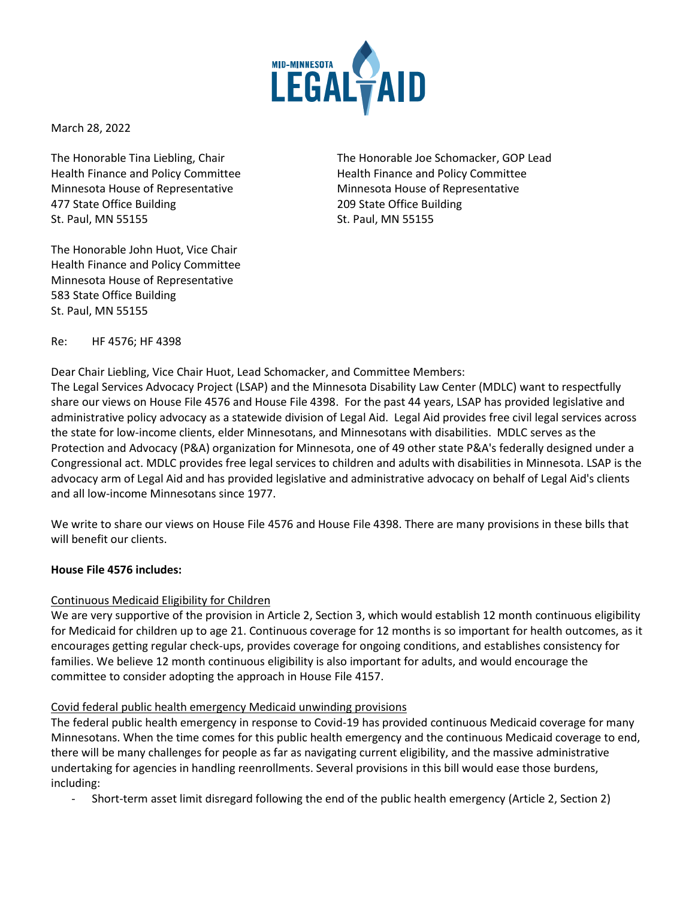

March 28, 2022

Minnesota House of Representative Minnesota House of Representative 477 State Office Building 209 State Office Building St. Paul, MN 55155 St. Paul, MN 55155

The Honorable John Huot, Vice Chair Health Finance and Policy Committee Minnesota House of Representative 583 State Office Building St. Paul, MN 55155

The Honorable Tina Liebling, Chair The Honorable Joe Schomacker, GOP Lead Health Finance and Policy Committee **Health Finance and Policy Committee** 

Re: HF 4576; HF 4398

Dear Chair Liebling, Vice Chair Huot, Lead Schomacker, and Committee Members:

The Legal Services Advocacy Project (LSAP) and the Minnesota Disability Law Center (MDLC) want to respectfully share our views on House File 4576 and House File 4398. For the past 44 years, LSAP has provided legislative and administrative policy advocacy as a statewide division of Legal Aid. Legal Aid provides free civil legal services across the state for low-income clients, elder Minnesotans, and Minnesotans with disabilities. MDLC serves as the Protection and Advocacy (P&A) organization for Minnesota, one of 49 other state P&A's federally designed under a Congressional act. MDLC provides free legal services to children and adults with disabilities in Minnesota. LSAP is the advocacy arm of Legal Aid and has provided legislative and administrative advocacy on behalf of Legal Aid's clients and all low-income Minnesotans since 1977.

We write to share our views on House File 4576 and House File 4398. There are many provisions in these bills that will benefit our clients.

## **House File 4576 includes:**

## Continuous Medicaid Eligibility for Children

We are very supportive of the provision in Article 2, Section 3, which would establish 12 month continuous eligibility for Medicaid for children up to age 21. Continuous coverage for 12 months is so important for health outcomes, as it encourages getting regular check-ups, provides coverage for ongoing conditions, and establishes consistency for families. We believe 12 month continuous eligibility is also important for adults, and would encourage the committee to consider adopting the approach in House File 4157.

## Covid federal public health emergency Medicaid unwinding provisions

The federal public health emergency in response to Covid-19 has provided continuous Medicaid coverage for many Minnesotans. When the time comes for this public health emergency and the continuous Medicaid coverage to end, there will be many challenges for people as far as navigating current eligibility, and the massive administrative undertaking for agencies in handling reenrollments. Several provisions in this bill would ease those burdens, including:

- Short-term asset limit disregard following the end of the public health emergency (Article 2, Section 2)